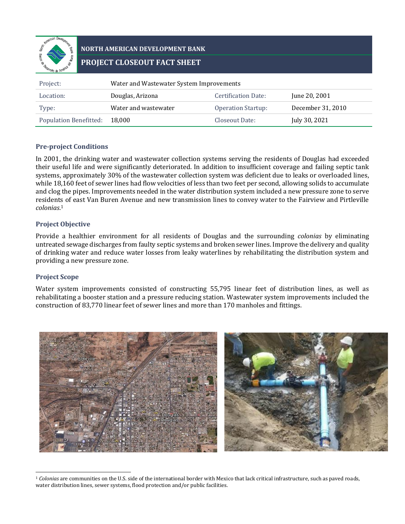

# **NORTH AMERICAN DEVELOPMENT BANK PROJECT CLOSEOUT FACT SHEET**

| Project:                      | Water and Wastewater System Improvements |                           |                   |  |  |
|-------------------------------|------------------------------------------|---------------------------|-------------------|--|--|
| Location:                     | Douglas, Arizona                         | Certification Date:       | June 20, 2001     |  |  |
| Type:                         | Water and wastewater                     | <b>Operation Startup:</b> | December 31, 2010 |  |  |
| <b>Population Benefitted:</b> | 18.000                                   | Closeout Date:            | July 30, 2021     |  |  |

### **Pre-project Conditions**

In 2001, the drinking water and wastewater collection systems serving the residents of Douglas had exceeded their useful life and were significantly deteriorated. In addition to insufficient coverage and failing septic tank systems, approximately 30% of the wastewater collection system was deficient due to leaks or overloaded lines, while 18,160 feet of sewer lines had flow velocities of less than two feet per second, allowing solids to accumulate and clog the pipes. Improvements needed in the water distribution system included a new pressure zone to serve residents of east Van Buren Avenue and new transmission lines to convey water to the Fairview and Pirtleville *colonias*. 1

## **Project Objective**

Provide a healthier environment for all residents of Douglas and the surrounding *colonias* by eliminating untreated sewage discharges from faulty septic systems and broken sewer lines. Improve the delivery and quality of drinking water and reduce water losses from leaky waterlines by rehabilitating the distribution system and providing a new pressure zone.

### **Project Scope**

Water system improvements consisted of constructing 55,795 linear feet of distribution lines, as well as rehabilitating a booster station and a pressure reducing station. Wastewater system improvements included the construction of 83,770 linear feet of sewer lines and more than 170 manholes and fittings.



<sup>1</sup> *Colonias* are communities on the U.S. side of the international border with Mexico that lack critical infrastructure, such as paved roads, water distribution lines, sewer systems, flood protection and/or public facilities.